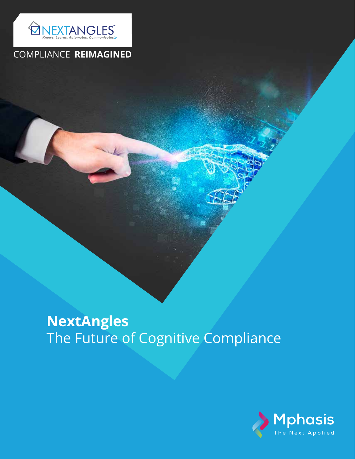

## COMPLIANCE **REIMAGINED**

# **NextAngles** The Future of Cognitive Compliance

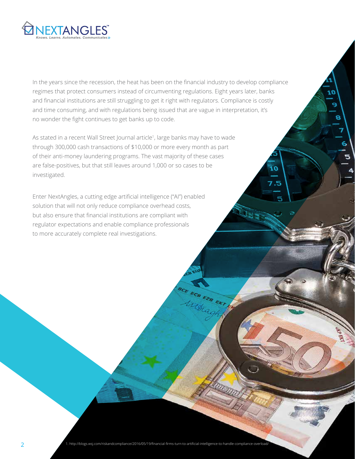

In the years since the recession, the heat has been on the financial industry to develop compliance regimes that protect consumers instead of circumventing regulations. Eight years later, banks and financial institutions are still struggling to get it right with regulators. Compliance is costly and time consuming, and with regulations being issued that are vague in interpretation, it's no wonder the fight continues to get banks up to code.

10

١o

7.5

9

8

6

As stated in a recent Wall Street Journal article<sup>1</sup> , large banks may have to wade through 300,000 cash transactions of \$10,000 or more every month as part of their anti-money laundering programs. The vast majority of these cases are false-positives, but that still leaves around 1,000 or so cases to be investigated.

Enter NextAngles, a cutting edge artificial intelligence ("AI") enabled solution that will not only reduce compliance overhead costs, but also ensure that financial institutions are compliant with regulator expectations and enable compliance professionals to more accurately complete real investigations.

1. <http://blogs.wsj.com/riskandcompliance/2016/05/19/financial-firms-turn-to-artificial-intelligence-to-handle-compliance-overload/> 2

ace ECB EZB EKT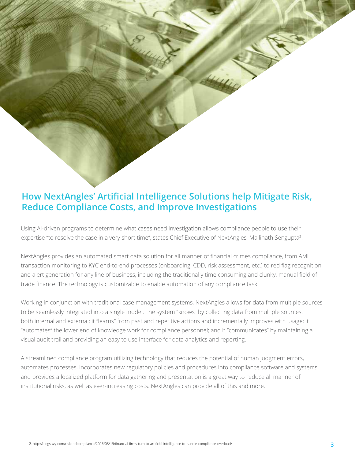## **How NextAngles' Artificial Intelligence Solutions help Mitigate Risk, Reduce Compliance Costs, and Improve Investigations**

Using AI-driven programs to determine what cases need investigation allows compliance people to use their expertise "to resolve the case in a very short time", states Chief Executive of NextAngles, Mallinath Sengupta<sup>2</sup>.

NextAngles provides an automated smart data solution for all manner of financial crimes compliance, from AML transaction monitoring to KYC end-to-end processes (onboarding, CDD, risk assessment, etc.) to red flag recognition and alert generation for any line of business, including the traditionally time consuming and clunky, manual field of trade finance. The technology is customizable to enable automation of any compliance task.

Working in conjunction with traditional case management systems, NextAngles allows for data from multiple sources to be seamlessly integrated into a single model. The system "knows" by collecting data from multiple sources, both internal and external; it "learns" from past and repetitive actions and incrementally improves with usage; it "automates" the lower end of knowledge work for compliance personnel; and it "communicates" by maintaining a visual audit trail and providing an easy to use interface for data analytics and reporting.

A streamlined compliance program utilizing technology that reduces the potential of human judgment errors, automates processes, incorporates new regulatory policies and procedures into compliance software and systems, and provides a localized platform for data gathering and presentation is a great way to reduce all manner of institutional risks, as well as ever-increasing costs. NextAngles can provide all of this and more.